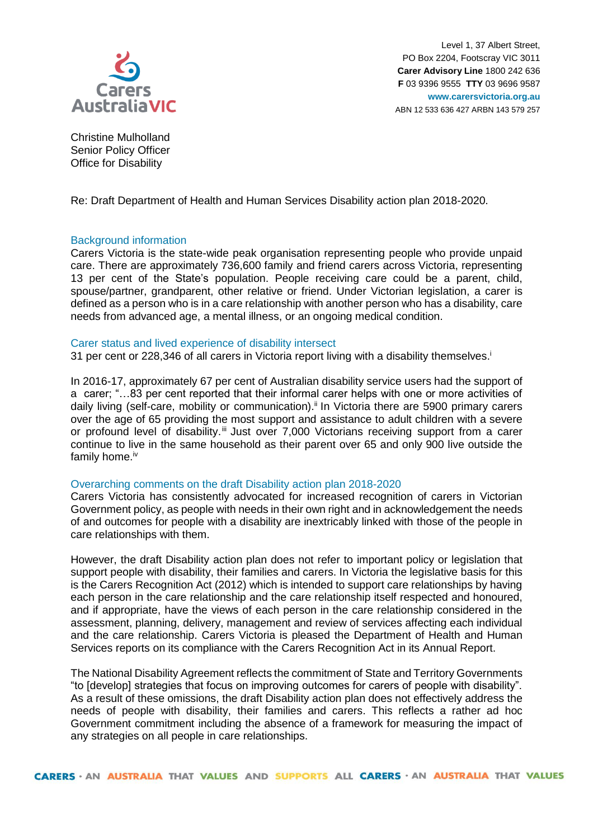

Level 1, 37 Albert Street, PO Box 2204, Footscray VIC 3011 **Carer Advisory Line** 1800 242 636 **F** 03 9396 9555 **TTY** 03 9696 9587 **www.carersvictoria.org.au** ABN 12 533 636 427 ARBN 143 579 257

Christine Mulholland Senior Policy Officer Office for Disability

Re: Draft Department of Health and Human Services Disability action plan 2018-2020.

# Background information

Carers Victoria is the state-wide peak organisation representing people who provide unpaid care. There are approximately 736,600 family and friend carers across Victoria, representing 13 per cent of the State's population. People receiving care could be a parent, child, spouse/partner, grandparent, other relative or friend. Under Victorian legislation, a carer is defined as a person who is in a care relationship with another person who has a disability, care needs from advanced age, a mental illness, or an ongoing medical condition.

## Carer status and lived experience of disability intersect

31 per cent or 228,346 of all carers in Victoria report living with a disability themselves.<sup>i</sup>

In 2016-17, approximately 67 per cent of Australian disability service users had the support of a carer; "…83 per cent reported that their informal carer helps with one or more activities of daily living (self-care, mobility or communication).<sup>ii</sup> In Victoria there are 5900 primary carers over the age of 65 providing the most support and assistance to adult children with a severe or profound level of disability.<sup>iii</sup> Just over 7,000 Victorians receiving support from a carer continue to live in the same household as their parent over 65 and only 900 live outside the family home.<sup>iv</sup>

# Overarching comments on the draft Disability action plan 2018-2020

Carers Victoria has consistently advocated for increased recognition of carers in Victorian Government policy, as people with needs in their own right and in acknowledgement the needs of and outcomes for people with a disability are inextricably linked with those of the people in care relationships with them.

However, the draft Disability action plan does not refer to important policy or legislation that support people with disability, their families and carers. In Victoria the legislative basis for this is the Carers Recognition Act (2012) which is intended to support care relationships by having each person in the care relationship and the care relationship itself respected and honoured, and if appropriate, have the views of each person in the care relationship considered in the assessment, planning, delivery, management and review of services affecting each individual and the care relationship. Carers Victoria is pleased the Department of Health and Human Services reports on its compliance with the Carers Recognition Act in its Annual Report.

The National Disability Agreement reflects the commitment of State and Territory Governments "to [develop] strategies that focus on improving outcomes for carers of people with disability". As a result of these omissions, the draft Disability action plan does not effectively address the needs of people with disability, their families and carers. This reflects a rather ad hoc Government commitment including the absence of a framework for measuring the impact of any strategies on all people in care relationships.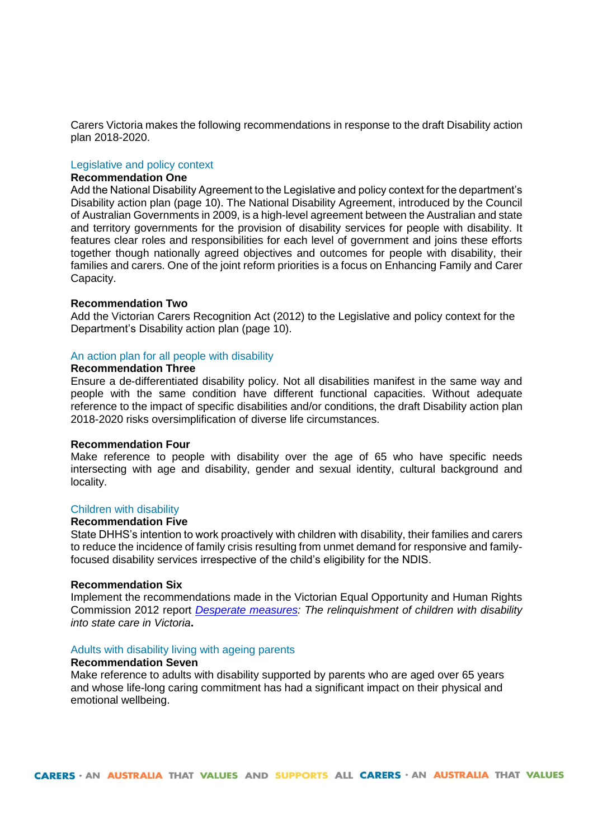Carers Victoria makes the following recommendations in response to the draft Disability action plan 2018-2020.

### Legislative and policy context

# **Recommendation One**

Add the National Disability Agreement to the Legislative and policy context for the department's Disability action plan (page 10). The National Disability Agreement, introduced by the Council of Australian Governments in 2009, is a high-level agreement between the Australian and state and territory governments for the provision of disability services for people with disability. It features clear roles and responsibilities for each level of government and joins these efforts together though nationally agreed objectives and outcomes for people with disability, their families and carers. One of the joint reform priorities is a focus on Enhancing Family and Carer Capacity.

## **Recommendation Two**

Add the Victorian Carers Recognition Act (2012) to the Legislative and policy context for the Department's Disability action plan (page 10).

# An action plan for all people with disability

# **Recommendation Three**

Ensure a de-differentiated disability policy. Not all disabilities manifest in the same way and people with the same condition have different functional capacities. Without adequate reference to the impact of specific disabilities and/or conditions, the draft Disability action plan 2018-2020 risks oversimplification of diverse life circumstances.

#### **Recommendation Four**

Make reference to people with disability over the age of 65 who have specific needs intersecting with age and disability, gender and sexual identity, cultural background and locality.

# Children with disability

## **Recommendation Five**

State DHHS's intention to work proactively with children with disability, their families and carers to reduce the incidence of family crisis resulting from unmet demand for responsive and familyfocused disability services irrespective of the child's eligibility for the NDIS.

### **Recommendation Six**

Implement the recommendations made in the Victorian Equal Opportunity and Human Rights Commission 2012 report *[Desperate measures:](https://www.humanrightscommission.vic.gov.au/home/our-resources-and-publications/reports/item/153-desperate-measures-the-relinquishment-of-children-with-disability-into-state-care-in-victoria-may-2012) The relinquishment of children with disability into state care in Victoria***.**

## Adults with disability living with ageing parents

## **Recommendation Seven**

Make reference to adults with disability supported by parents who are aged over 65 years and whose life-long caring commitment has had a significant impact on their physical and emotional wellbeing.